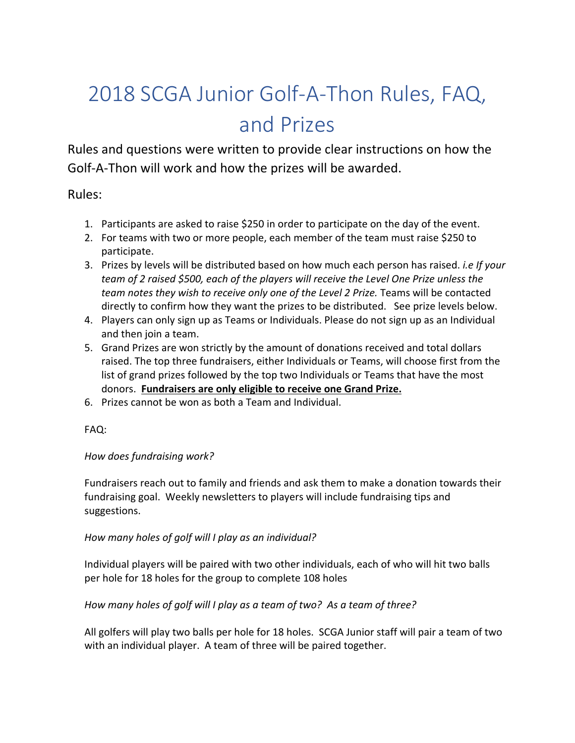# 2018 SCGA Junior Golf-A-Thon Rules, FAQ, and Prizes

Rules and questions were written to provide clear instructions on how the Golf-A-Thon will work and how the prizes will be awarded.

Rules:

- 1. Participants are asked to raise \$250 in order to participate on the day of the event.
- 2. For teams with two or more people, each member of the team must raise \$250 to participate.
- 3. Prizes by levels will be distributed based on how much each person has raised. *i.e If your team of 2 raised \$500, each of the players will receive the Level One Prize unless the team notes they wish to receive only one of the Level 2 Prize.* Teams will be contacted directly to confirm how they want the prizes to be distributed. See prize levels below.
- 4. Players can only sign up as Teams or Individuals. Please do not sign up as an Individual and then join a team.
- 5. Grand Prizes are won strictly by the amount of donations received and total dollars raised. The top three fundraisers, either Individuals or Teams, will choose first from the list of grand prizes followed by the top two Individuals or Teams that have the most donors. **Fundraisers are only eligible to receive one Grand Prize.**
- 6. Prizes cannot be won as both a Team and Individual.

FAQ:

## *How does fundraising work?*

Fundraisers reach out to family and friends and ask them to make a donation towards their fundraising goal. Weekly newsletters to players will include fundraising tips and suggestions.

## *How many holes of golf will I play as an individual?*

Individual players will be paired with two other individuals, each of who will hit two balls per hole for 18 holes for the group to complete 108 holes

## *How many holes of golf will I play as a team of two? As a team of three?*

All golfers will play two balls per hole for 18 holes. SCGA Junior staff will pair a team of two with an individual player. A team of three will be paired together.